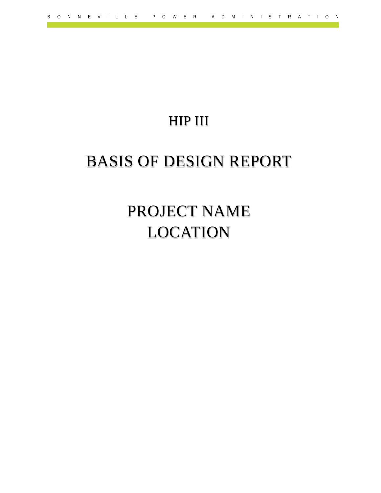## HIP III

## BASIS OF DESIGN REPORT

# PROJECT NAME LOCATION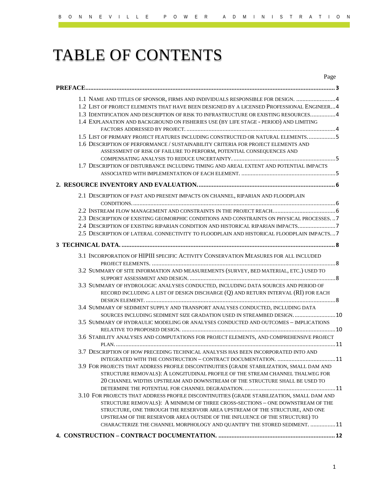# TABLE OF CONTENTS

| Page                                                                                       |  |
|--------------------------------------------------------------------------------------------|--|
|                                                                                            |  |
| 1.1 NAME AND TITLES OF SPONSOR, FIRMS AND INDIVIDUALS RESPONSIBLE FOR DESIGN.  4           |  |
| 1.2 LIST OF PROJECT ELEMENTS THAT HAVE BEEN DESIGNED BY A LICENSED PROFESSIONAL ENGINEER 4 |  |
| 1.3 IDENTIFICATION AND DESCRIPTION OF RISK TO INFRASTRUCTURE OR EXISTING RESOURCES4        |  |
| 1.4 EXPLANATION AND BACKGROUND ON FISHERIES USE (BY LIFE STAGE - PERIOD) AND LIMITING      |  |
|                                                                                            |  |
| 1.5 LIST OF PRIMARY PROJECT FEATURES INCLUDING CONSTRUCTED OR NATURAL ELEMENTS5            |  |
| 1.6 DESCRIPTION OF PERFORMANCE / SUSTAINABILITY CRITERIA FOR PROJECT ELEMENTS AND          |  |
| ASSESSMENT OF RISK OF FAILURE TO PERFORM, POTENTIAL CONSEQUENCES AND                       |  |
|                                                                                            |  |
| 1.7 DESCRIPTION OF DISTURBANCE INCLUDING TIMING AND AREAL EXTENT AND POTENTIAL IMPACTS     |  |
|                                                                                            |  |
|                                                                                            |  |
|                                                                                            |  |
| 2.1 DESCRIPTION OF PAST AND PRESENT IMPACTS ON CHANNEL, RIPARIAN AND FLOODPLAIN            |  |
|                                                                                            |  |
| 2.3 DESCRIPTION OF EXISTING GEOMORPHIC CONDITIONS AND CONSTRAINTS ON PHYSICAL PROCESSES7   |  |
| 2.4 DESCRIPTION OF EXISTING RIPARIAN CONDITION AND HISTORICAL RIPARIAN IMPACTS7            |  |
| 2.5 DESCRIPTION OF LATERAL CONNECTIVITY TO FLOODPLAIN AND HISTORICAL FLOODPLAIN IMPACTS7   |  |
|                                                                                            |  |
|                                                                                            |  |
| 3.1 INCORPORATION OF HIPIII SPECIFIC ACTIVITY CONSERVATION MEASURES FOR ALL INCLUDED       |  |
|                                                                                            |  |
| 3.2 SUMMARY OF SITE INFORMATION AND MEASUREMENTS (SURVEY, BED MATERIAL, ETC.) USED TO      |  |
|                                                                                            |  |
| 3.3 SUMMARY OF HYDROLOGIC ANALYSES CONDUCTED, INCLUDING DATA SOURCES AND PERIOD OF         |  |
| RECORD INCLUDING A LIST OF DESIGN DISCHARGE (Q) AND RETURN INTERVAL (RI) FOR EACH          |  |
|                                                                                            |  |
| 3.4 SUMMARY OF SEDIMENT SUPPLY AND TRANSPORT ANALYSES CONDUCTED, INCLUDING DATA            |  |
| SOURCES INCLUDING SEDIMENT SIZE GRADATION USED IN STREAMBED DESIGN.  10                    |  |
| 3.5 SUMMARY OF HYDRAULIC MODELING OR ANALYSES CONDUCTED AND OUTCOMES – IMPLICATIONS        |  |
|                                                                                            |  |
| 3.6 STABILITY ANALYSES AND COMPUTATIONS FOR PROJECT ELEMENTS, AND COMPREHENSIVE PROJECT    |  |
|                                                                                            |  |
| 3.7 DESCRIPTION OF HOW PRECEDING TECHNICAL ANALYSIS HAS BEEN INCORPORATED INTO AND         |  |
| INTEGRATED WITH THE CONSTRUCTION - CONTRACT DOCUMENTATION. 11                              |  |
| 3.9 FOR PROJECTS THAT ADDRESS PROFILE DISCONTINUITIES (GRADE STABILIZATION, SMALL DAM AND  |  |
| STRUCTURE REMOVALS): A LONGITUDINAL PROFILE OF THE STREAM CHANNEL THALWEG FOR              |  |
| 20 CHANNEL WIDTHS UPSTREAM AND DOWNSTREAM OF THE STRUCTURE SHALL BE USED TO                |  |
|                                                                                            |  |
| 3.10 FOR PROJECTS THAT ADDRESS PROFILE DISCONTINUITIES (GRADE STABILIZATION, SMALL DAM AND |  |
| STRUCTURE REMOVALS): A MINIMUM OF THREE CROSS-SECTIONS - ONE DOWNSTREAM OF THE             |  |
| STRUCTURE, ONE THROUGH THE RESERVOIR AREA UPSTREAM OF THE STRUCTURE, AND ONE               |  |
| UPSTREAM OF THE RESERVOIR AREA OUTSIDE OF THE INFLUENCE OF THE STRUCTURE) TO               |  |
| CHARACTERIZE THE CHANNEL MORPHOLOGY AND QUANTIFY THE STORED SEDIMENT. 11                   |  |
|                                                                                            |  |
|                                                                                            |  |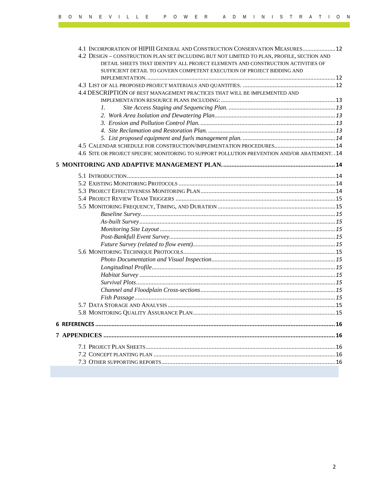| 4.1 INCORPORATION OF HIPIII GENERAL AND CONSTRUCTION CONSERVATION MEASURES 12                  |  |
|------------------------------------------------------------------------------------------------|--|
| 4.2 DESIGN - CONSTRUCTION PLAN SET INCLUDING BUT NOT LIMITED TO PLAN, PROFILE, SECTION AND     |  |
| DETAIL SHEETS THAT IDENTIFY ALL PROJECT ELEMENTS AND CONSTRUCTION ACTIVITIES OF                |  |
| SUFFICIENT DETAIL TO GOVERN COMPETENT EXECUTION OF PROJECT BIDDING AND                         |  |
|                                                                                                |  |
|                                                                                                |  |
| 4.4 DESCRIPTION OF BEST MANAGEMENT PRACTICES THAT WILL BE IMPLEMENTED AND                      |  |
|                                                                                                |  |
| 1.                                                                                             |  |
|                                                                                                |  |
|                                                                                                |  |
|                                                                                                |  |
|                                                                                                |  |
|                                                                                                |  |
| 4.6 SITE OR PROJECT SPECIFIC MONITORING TO SUPPORT POLLUTION PREVENTION AND/OR ABATEMENT. . 14 |  |
|                                                                                                |  |
|                                                                                                |  |
|                                                                                                |  |
|                                                                                                |  |
|                                                                                                |  |
|                                                                                                |  |
|                                                                                                |  |
|                                                                                                |  |
|                                                                                                |  |
|                                                                                                |  |
|                                                                                                |  |
|                                                                                                |  |
|                                                                                                |  |
|                                                                                                |  |
|                                                                                                |  |
|                                                                                                |  |
|                                                                                                |  |
|                                                                                                |  |
|                                                                                                |  |
|                                                                                                |  |
|                                                                                                |  |
|                                                                                                |  |
|                                                                                                |  |
|                                                                                                |  |
|                                                                                                |  |
|                                                                                                |  |
|                                                                                                |  |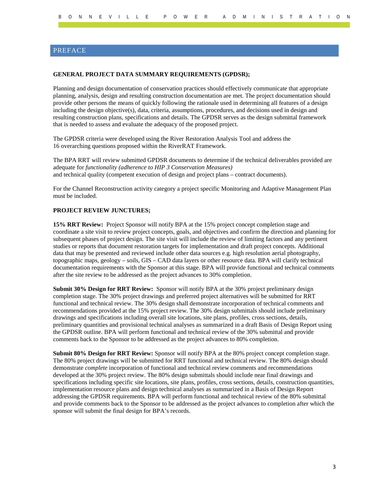### <span id="page-3-0"></span>PREFACE

#### **GENERAL PROJECT DATA SUMMARY REQUIREMENTS (GPDSR);**

Planning and design documentation of conservation practices should effectively communicate that appropriate planning, analysis, design and resulting construction documentation are met. The project documentation should provide other persons the means of quickly following the rationale used in determining all features of a design including the design objective(s), data, criteria, assumptions, procedures, and decisions used in design and resulting construction plans, specifications and details. The GPDSR serves as the design submittal framework that is needed to assess and evaluate the adequacy of the proposed project.

The GPDSR criteria were developed using the River Restoration Analysis Tool and address the 16 overarching questions proposed within the RiverRAT Framework.

The BPA RRT will review submitted GPDSR documents to determine if the technical deliverables provided are adequate for *functionality (adherence to HIP 3 Conservation Measures)* and technical quality (competent execution of design and project plans – contract documents).

For the Channel Reconstruction activity category a project specific Monitoring and Adaptive Management Plan must be included.

#### **PROJECT REVIEW JUNCTURES;**

**15% RRT Review:** Project Sponsor will notify BPA at the 15% project concept completion stage and coordinate a site visit to review project concepts, goals, and objectives and confirm the direction and planning for subsequent phases of project design. The site visit will include the review of limiting factors and any pertinent studies or reports that document restoration targets for implementation and draft project concepts. Additional data that may be presented and reviewed include other data sources e.g. high resolution aerial photography, topographic maps, geology – soils, GIS – CAD data layers or other resource data. BPA will clarify technical documentation requirements with the Sponsor at this stage. BPA will provide functional and technical comments after the site review to be addressed as the project advances to 30% completion.

**Submit 30% Design for RRT Review:** Sponsor will notify BPA at the 30% project preliminary design completion stage. The 30% project drawings and preferred project alternatives will be submitted for RRT functional and technical review. The 30% design shall demonstrate incorporation of technical comments and recommendations provided at the 15% project review. The 30% design submittals should include preliminary drawings and specifications including overall site locations, site plans, profiles, cross sections, details, preliminary quantities and provisional technical analyses as summarized in a draft Basis of Design Report using the GPDSR outline. BPA will perform functional and technical review of the 30% submittal and provide comments back to the Sponsor to be addressed as the project advances to 80% completion.

**Submit 80% Design for RRT Review:** Sponsor will notify BPA at the 80% project concept completion stage. The 80% project drawings will be submitted for RRT functional and technical review. The 80% design should demonstrate *complete* incorporation of functional and technical review comments and recommendations developed at the 30% project review. The 80% design submittals should include near final drawings and specifications including specific site locations, site plans, profiles, cross sections, details, construction quantities, implementation resource plans and design technical analyses as summarized in a Basis of Design Report addressing the GPDSR requirements. BPA will perform functional and technical review of the 80% submittal and provide comments back to the Sponsor to be addressed as the project advances to completion after which the sponsor will submit the final design for BPA's records.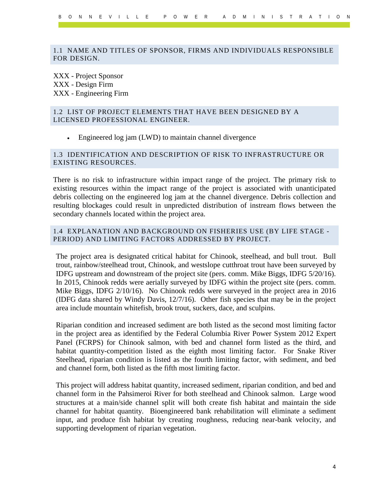### <span id="page-4-0"></span>1.1 NAME AND TITLES OF SPONSOR, FIRMS AND INDIVIDUALS RESPONSIBLE FOR DESIGN.

XXX - Project Sponsor XXX - Design Firm XXX - Engineering Firm

### <span id="page-4-1"></span>1.2 LIST OF PROJECT ELEMENTS THAT HAVE BEEN DESIGNED BY A LICENSED PROFESSIONAL ENGINEER.

• Engineered log jam (LWD) to maintain channel divergence

### <span id="page-4-2"></span>1.3 IDENTIFICATION AND DESCRIPTION OF RISK TO INFRASTRUCTURE OR EXISTING RESOURCES.

There is no risk to infrastructure within impact range of the project. The primary risk to existing resources within the impact range of the project is associated with unanticipated debris collecting on the engineered log jam at the channel divergence. Debris collection and resulting blockages could result in unpredicted distribution of instream flows between the secondary channels located within the project area.

### <span id="page-4-3"></span>1.4 EXPLANATION AND BACKGROUND ON FISHERIES USE (BY LIFE STAGE - PERIOD) AND LIMITING FACTORS ADDRESSED BY PROJECT.

The project area is designated critical habitat for Chinook, steelhead, and bull trout. Bull trout, rainbow/steelhead trout, Chinook, and westslope cutthroat trout have been surveyed by IDFG upstream and downstream of the project site (pers. comm. Mike Biggs, IDFG 5/20/16). In 2015, Chinook redds were aerially surveyed by IDFG within the project site (pers. comm. Mike Biggs, IDFG 2/10/16). No Chinook redds were surveyed in the project area in 2016 (IDFG data shared by Windy Davis, 12/7/16). Other fish species that may be in the project area include mountain whitefish, brook trout, suckers, dace, and sculpins.

Riparian condition and increased sediment are both listed as the second most limiting factor in the project area as identified by the Federal Columbia River Power System 2012 Expert Panel (FCRPS) for Chinook salmon, with bed and channel form listed as the third, and habitat quantity-competition listed as the eighth most limiting factor. For Snake River Steelhead, riparian condition is listed as the fourth limiting factor, with sediment, and bed and channel form, both listed as the fifth most limiting factor.

This project will address habitat quantity, increased sediment, riparian condition, and bed and channel form in the Pahsimeroi River for both steelhead and Chinook salmon. Large wood structures at a main/side channel split will both create fish habitat and maintain the side channel for habitat quantity. Bioengineered bank rehabilitation will eliminate a sediment input, and produce fish habitat by creating roughness, reducing near-bank velocity, and supporting development of riparian vegetation.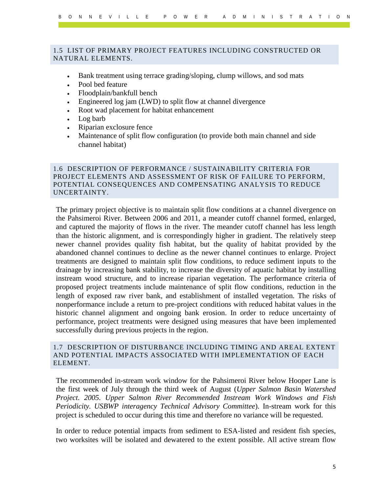### <span id="page-5-0"></span>1.5 LIST OF PRIMARY PROJECT FEATURES INCLUDING CONSTRUCTED OR NATURAL ELEMENTS.

- Bank treatment using terrace grading/sloping, clump willows, and sod mats
- Pool bed feature
- Floodplain/bankfull bench
- Engineered log jam (LWD) to split flow at channel divergence
- Root wad placement for habitat enhancement
- Log barb
- Riparian exclosure fence
- Maintenance of split flow configuration (to provide both main channel and side channel habitat)

### <span id="page-5-1"></span>1.6 DESCRIPTION OF PERFORMANCE / SUSTAINABILITY CRITERIA FOR PROJECT ELEMENTS AND ASSESSMENT OF RISK OF FAILURE TO PERFORM, POTENTIAL CONSEQUENCES AND COMPENSATING ANALYSIS TO REDUCE UNCERTAINTY.

The primary project objective is to maintain split flow conditions at a channel divergence on the Pahsimeroi River. Between 2006 and 2011, a meander cutoff channel formed, enlarged, and captured the majority of flows in the river. The meander cutoff channel has less length than the historic alignment, and is correspondingly higher in gradient. The relatively steep newer channel provides quality fish habitat, but the quality of habitat provided by the abandoned channel continues to decline as the newer channel continues to enlarge. Project treatments are designed to maintain split flow conditions, to reduce sediment inputs to the drainage by increasing bank stability, to increase the diversity of aquatic habitat by installing instream wood structure, and to increase riparian vegetation. The performance criteria of proposed project treatments include maintenance of split flow conditions, reduction in the length of exposed raw river bank, and establishment of installed vegetation. The risks of nonperformance include a return to pre-project conditions with reduced habitat values in the historic channel alignment and ongoing bank erosion. In order to reduce uncertainty of performance, project treatments were designed using measures that have been implemented successfully during previous projects in the region.

### <span id="page-5-2"></span>1.7 DESCRIPTION OF DISTURBANCE INCLUDING TIMING AND AREAL EXTENT AND POTENTIAL IMPACTS ASSOCIATED WITH IMPLEMENTATION OF EACH ELEMENT.

The recommended in-stream work window for the Pahsimeroi River below Hooper Lane is the first week of July through the third week of August (*Upper Salmon Basin Watershed Project. 2005. Upper Salmon River Recommended Instream Work Windows and Fish Periodicity. USBWP interagency Technical Advisory Committee*). In-stream work for this project is scheduled to occur during this time and therefore no variance will be requested.

In order to reduce potential impacts from sediment to ESA-listed and resident fish species, two worksites will be isolated and dewatered to the extent possible. All active stream flow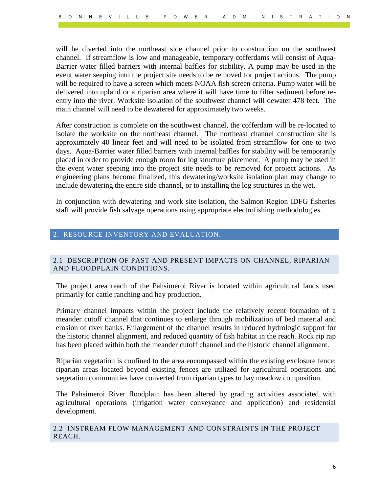will be diverted into the northeast side channel prior to construction on the southwest channel. If streamflow is low and manageable, temporary cofferdams will consist of Aqua-Barrier water filled barriers with internal baffles for stability. A pump may be used in the event water seeping into the project site needs to be removed for project actions. The pump will be required to have a screen which meets NOAA fish screen criteria. Pump water will be delivered into upland or a riparian area where it will have time to filter sediment before reentry into the river. Worksite isolation of the southwest channel will dewater 478 feet. The main channel will need to be dewatered for approximately two weeks.

After construction is complete on the southwest channel, the cofferdam will be re-located to isolate the worksite on the northeast channel. The northeast channel construction site is approximately 40 linear feet and will need to be isolated from streamflow for one to two days. Aqua-Barrier water filled barriers with internal baffles for stability will be temporarily placed in order to provide enough room for log structure placement. A pump may be used in the event water seeping into the project site needs to be removed for project actions. As engineering plans become finalized, this dewatering/worksite isolation plan may change to include dewatering the entire side channel, or to installing the log structures in the wet.

In conjunction with dewatering and work site isolation, the Salmon Region IDFG fisheries staff will provide fish salvage operations using appropriate electrofishing methodologies.

### <span id="page-6-0"></span>2. RESOURCE INVENTORY AND EVALUATION.

### <span id="page-6-1"></span>2.1 DESCRIPTION OF PAST AND PRESENT IMPACTS ON CHANNEL, RIPARIAN AND FLOODPLAIN CONDITIONS.

The project area reach of the Pahsimeroi River is located within agricultural lands used primarily for cattle ranching and hay production.

Primary channel impacts within the project include the relatively recent formation of a meander cutoff channel that continues to enlarge through mobilization of bed material and erosion of river banks. Enlargement of the channel results in reduced hydrologic support for the historic channel alignment, and reduced quantity of fish habitat in the reach. Rock rip rap has been placed within both the meander cutoff channel and the historic channel alignment.

Riparian vegetation is confined to the area encompassed within the existing exclosure fence; riparian areas located beyond existing fences are utilized for agricultural operations and vegetation communities have converted from riparian types to hay meadow composition.

The Pahsimeroi River floodplain has been altered by grading activities associated with agricultural operations (irrigation water conveyance and application) and residential development.

<span id="page-6-2"></span>2.2 INSTREAM FLOW MANAGEMENT AND CONSTRAINTS IN THE PROJECT REACH.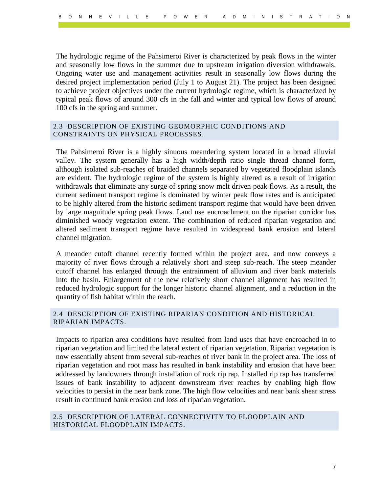The hydrologic regime of the Pahsimeroi River is characterized by peak flows in the winter and seasonally low flows in the summer due to upstream irrigation diversion withdrawals. Ongoing water use and management activities result in seasonally low flows during the desired project implementation period (July 1 to August 21). The project has been designed to achieve project objectives under the current hydrologic regime, which is characterized by typical peak flows of around 300 cfs in the fall and winter and typical low flows of around 100 cfs in the spring and summer.

### <span id="page-7-0"></span>2.3 DESCRIPTION OF EXISTING GEOMORPHIC CONDITIONS AND CONSTRAINTS ON PHYSICAL PROCESSES.

The Pahsimeroi River is a highly sinuous meandering system located in a broad alluvial valley. The system generally has a high width/depth ratio single thread channel form, although isolated sub-reaches of braided channels separated by vegetated floodplain islands are evident. The hydrologic regime of the system is highly altered as a result of irrigation withdrawals that eliminate any surge of spring snow melt driven peak flows. As a result, the current sediment transport regime is dominated by winter peak flow rates and is anticipated to be highly altered from the historic sediment transport regime that would have been driven by large magnitude spring peak flows. Land use encroachment on the riparian corridor has diminished woody vegetation extent. The combination of reduced riparian vegetation and altered sediment transport regime have resulted in widespread bank erosion and lateral channel migration.

A meander cutoff channel recently formed within the project area, and now conveys a majority of river flows through a relatively short and steep sub-reach. The steep meander cutoff channel has enlarged through the entrainment of alluvium and river bank materials into the basin. Enlargement of the new relatively short channel alignment has resulted in reduced hydrologic support for the longer historic channel alignment, and a reduction in the quantity of fish habitat within the reach.

### <span id="page-7-1"></span>2.4 DESCRIPTION OF EXISTING RIPARIAN CONDITION AND HISTORICAL RIPARIAN IMPACTS.

Impacts to riparian area conditions have resulted from land uses that have encroached in to riparian vegetation and limited the lateral extent of riparian vegetation. Riparian vegetation is now essentially absent from several sub-reaches of river bank in the project area. The loss of riparian vegetation and root mass has resulted in bank instability and erosion that have been addressed by landowners through installation of rock rip rap. Installed rip rap has transferred issues of bank instability to adjacent downstream river reaches by enabling high flow velocities to persist in the near bank zone. The high flow velocities and near bank shear stress result in continued bank erosion and loss of riparian vegetation.

### <span id="page-7-2"></span>2.5 DESCRIPTION OF LATERAL CONNECTIVITY TO FLOODPLAIN AND HISTORICAL FLOODPLAIN IMPACTS.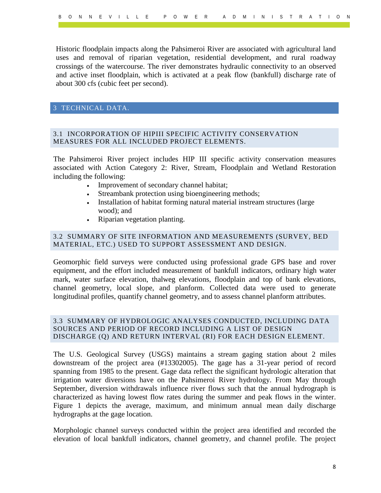Historic floodplain impacts along the Pahsimeroi River are associated with agricultural land uses and removal of riparian vegetation, residential development, and rural roadway crossings of the watercourse. The river demonstrates hydraulic connectivity to an observed and active inset floodplain, which is activated at a peak flow (bankfull) discharge rate of about 300 cfs (cubic feet per second).

### <span id="page-8-0"></span>3 TECHNICAL DATA.

### <span id="page-8-1"></span>3.1 INCORPORATION OF HIPIII SPECIFIC ACTIVITY CONSERVATION MEASURES FOR ALL INCLUDED PROJECT ELEMENTS.

The Pahsimeroi River project includes HIP III specific activity conservation measures associated with Action Category 2: River, Stream, Floodplain and Wetland Restoration including the following:

- Improvement of secondary channel habitat;
- Streambank protection using bioengineering methods;
- Installation of habitat forming natural material instream structures (large wood); and
- Riparian vegetation planting.

### <span id="page-8-2"></span>3.2 SUMMARY OF SITE INFORMATION AND MEASUREMENTS (SURVEY, BED MATERIAL, ETC.) USED TO SUPPORT ASSESSMENT AND DESIGN.

Geomorphic field surveys were conducted using professional grade GPS base and rover equipment, and the effort included measurement of bankfull indicators, ordinary high water mark, water surface elevation, thalweg elevations, floodplain and top of bank elevations, channel geometry, local slope, and planform. Collected data were used to generate longitudinal profiles, quantify channel geometry, and to assess channel planform attributes.

### <span id="page-8-3"></span>3.3 SUMMARY OF HYDROLOGIC ANALYSES CONDUCTED, INCLUDING DATA SOURCES AND PERIOD OF RECORD INCLUDING A LIST OF DESIGN DISCHARGE (Q) AND RETURN INTERVAL (RI) FOR EACH DESIGN ELEMENT.

The U.S. Geological Survey (USGS) maintains a stream gaging station about 2 miles downstream of the project area (#13302005). The gage has a 31-year period of record spanning from 1985 to the present. Gage data reflect the significant hydrologic alteration that irrigation water diversions have on the Pahsimeroi River hydrology. From May through September, diversion withdrawals influence river flows such that the annual hydrograph is characterized as having lowest flow rates during the summer and peak flows in the winter. Figure 1 depicts the average, maximum, and minimum annual mean daily discharge hydrographs at the gage location.

Morphologic channel surveys conducted within the project area identified and recorded the elevation of local bankfull indicators, channel geometry, and channel profile. The project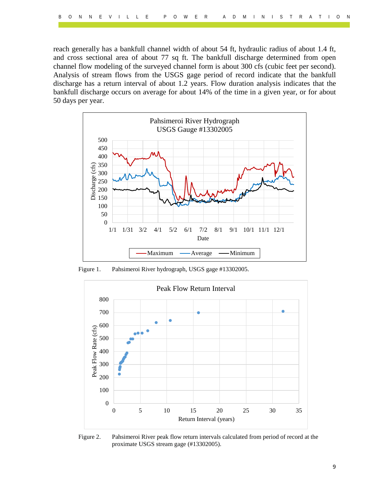reach generally has a bankfull channel width of about 54 ft, hydraulic radius of about 1.4 ft, and cross sectional area of about 77 sq ft. The bankfull discharge determined from open channel flow modeling of the surveyed channel form is about 300 cfs (cubic feet per second). Analysis of stream flows from the USGS gage period of record indicate that the bankfull discharge has a return interval of about 1.2 years. Flow duration analysis indicates that the bankfull discharge occurs on average for about 14% of the time in a given year, or for about 50 days per year.



Figure 1. Pahsimeroi River hydrograph, USGS gage #13302005.



Figure 2. Pahsimeroi River peak flow return intervals calculated from period of record at the proximate USGS stream gage (#13302005).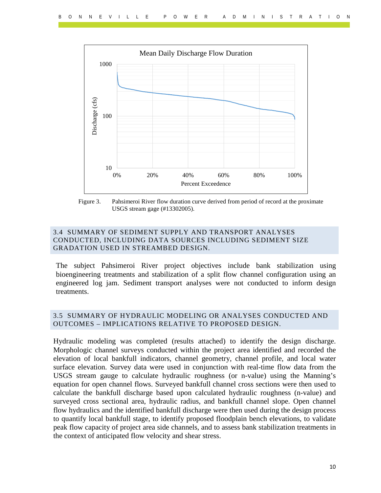

Figure 3. Pahsimeroi River flow duration curve derived from period of record at the proximate USGS stream gage (#13302005).

### <span id="page-10-0"></span>3.4 SUMMARY OF SEDIMENT SUPPLY AND TRANSPORT ANALYSES CONDUCTED, INCLUDING DATA SOURCES INCLUDING SEDIMENT SIZE GRADATION USED IN STREAMBED DESIGN.

The subject Pahsimeroi River project objectives include bank stabilization using bioengineering treatments and stabilization of a split flow channel configuration using an engineered log jam. Sediment transport analyses were not conducted to inform design treatments.

### <span id="page-10-1"></span>3.5 SUMMARY OF HYDRAULIC MODELING OR ANALYSES CONDUCTED AND OUTCOMES – IMPLICATIONS RELATIVE TO PROPOSED DESIGN.

Hydraulic modeling was completed (results attached) to identify the design discharge. Morphologic channel surveys conducted within the project area identified and recorded the elevation of local bankfull indicators, channel geometry, channel profile, and local water surface elevation. Survey data were used in conjunction with real-time flow data from the USGS stream gauge to calculate hydraulic roughness (or n-value) using the Manning's equation for open channel flows. Surveyed bankfull channel cross sections were then used to calculate the bankfull discharge based upon calculated hydraulic roughness (n-value) and surveyed cross sectional area, hydraulic radius, and bankfull channel slope. Open channel flow hydraulics and the identified bankfull discharge were then used during the design process to quantify local bankfull stage, to identify proposed floodplain bench elevations, to validate peak flow capacity of project area side channels, and to assess bank stabilization treatments in the context of anticipated flow velocity and shear stress.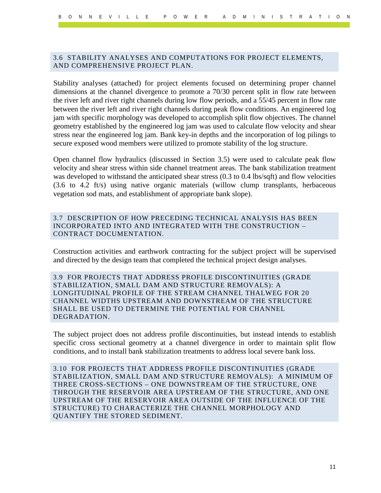### <span id="page-11-0"></span>3.6 STABILITY ANALYSES AND COMPUTATIONS FOR PROJECT ELEMENTS, AND COMPREHENSIVE PROJECT PLAN.

Stability analyses (attached) for project elements focused on determining proper channel dimensions at the channel divergence to promote a 70/30 percent split in flow rate between the river left and river right channels during low flow periods, and a 55/45 percent in flow rate between the river left and river right channels during peak flow conditions. An engineered log jam with specific morphology was developed to accomplish split flow objectives. The channel geometry established by the engineered log jam was used to calculate flow velocity and shear stress near the engineered log jam. Bank key-in depths and the incorporation of log pilings to secure exposed wood members were utilized to promote stability of the log structure.

Open channel flow hydraulics (discussed in Section 3.5) were used to calculate peak flow velocity and shear stress within side channel treatment areas. The bank stabilization treatment was developed to withstand the anticipated shear stress (0.3 to 0.4 lbs/sqft) and flow velocities (3.6 to 4.2 ft/s) using native organic materials (willow clump transplants, herbaceous vegetation sod mats, and establishment of appropriate bank slope).

<span id="page-11-1"></span>3.7 DESCRIPTION OF HOW PRECEDING TECHNICAL ANALYSIS HAS BEEN INCORPORATED INTO AND INTEGRATED WITH THE CONSTRUCTION – CONTRACT DOCUMENTATION.

Construction activities and earthwork contracting for the subject project will be supervised and directed by the design team that completed the technical project design analyses.

<span id="page-11-2"></span>3.9 FOR PROJECTS THAT ADDRESS PROFILE DISCONTINUITIES (GRADE STABILIZATION, SMALL DAM AND STRUCTURE REMOVALS): A LONGITUDINAL PROFILE OF THE STREAM CHANNEL THALWEG FOR 20 CHANNEL WIDTHS UPSTREAM AND DOWNSTREAM OF THE STRUCTURE SHALL BE USED TO DETERMINE THE POTENTIAL FOR CHANNEL DEGRADATION.

The subject project does not address profile discontinuities, but instead intends to establish specific cross sectional geometry at a channel divergence in order to maintain split flow conditions, and to install bank stabilization treatments to address local severe bank loss.

<span id="page-11-3"></span>3.10 FOR PROJECTS THAT ADDRESS PROFILE DISCONTINUITIES (GRADE STABILIZATION, SMALL DAM AND STRUCTURE REMOVALS): A MINIMUM OF THREE CROSS-SECTIONS – ONE DOWNSTREAM OF THE STRUCTURE, ONE THROUGH THE RESERVOIR AREA UPSTREAM OF THE STRUCTURE, AND ONE UPSTREAM OF THE RESERVOIR AREA OUTSIDE OF THE INFLUENCE OF THE STRUCTURE) TO CHARACTERIZE THE CHANNEL MORPHOLOGY AND QUANTIFY THE STORED SEDIMENT.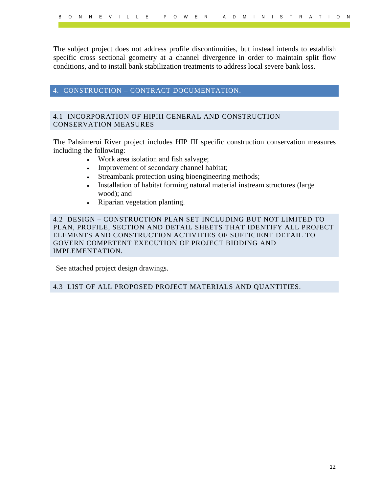The subject project does not address profile discontinuities, but instead intends to establish specific cross sectional geometry at a channel divergence in order to maintain split flow conditions, and to install bank stabilization treatments to address local severe bank loss.

### <span id="page-12-0"></span>4. CONSTRUCTION – CONTRACT DOCUMENTATION.

### <span id="page-12-1"></span>4.1 INCORPORATION OF HIPIII GENERAL AND CONSTRUCTION CONSERVATION MEASURES

The Pahsimeroi River project includes HIP III specific construction conservation measures including the following:

- Work area isolation and fish salvage;
- Improvement of secondary channel habitat;
- Streambank protection using bioengineering methods;
- Installation of habitat forming natural material instream structures (large wood); and
- Riparian vegetation planting.

<span id="page-12-2"></span>4.2 DESIGN – CONSTRUCTION PLAN SET INCLUDING BUT NOT LIMITED TO PLAN, PROFILE, SECTION AND DETAIL SHEETS THAT IDENTIFY ALL PROJECT ELEMENTS AND CONSTRUCTION ACTIVITIES OF SUFFICIENT DETAIL TO GOVERN COMPETENT EXECUTION OF PROJECT BIDDING AND IMPLEMENTATION.

See attached project design drawings.

<span id="page-12-3"></span>4.3 LIST OF ALL PROPOSED PROJECT MATERIALS AND QUANTITIES.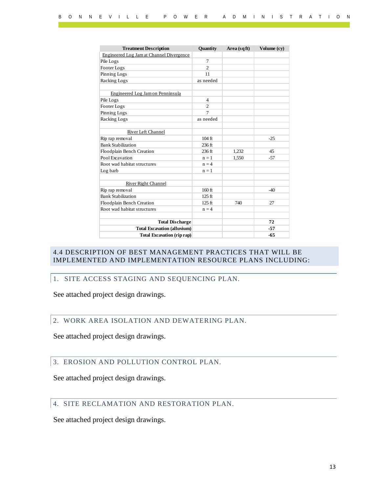| <b>Treatment Description</b>             | <b>Quantity</b>   | Area (sqft) | Volume (cy) |
|------------------------------------------|-------------------|-------------|-------------|
| Engineered Log Jam at Channel Divergence |                   |             |             |
| Pile Logs                                | 7                 |             |             |
| Footer Logs                              | $\mathfrak{D}$    |             |             |
| Pinning Logs                             | 11                |             |             |
| Racking Logs                             | as needed         |             |             |
|                                          |                   |             |             |
| Engineered Log Jam on Penninsula         |                   |             |             |
| Pile Logs                                | $\overline{4}$    |             |             |
| Footer Logs                              | $\mathfrak{D}$    |             |             |
| Pinning Logs                             | $\overline{7}$    |             |             |
| Racking Logs                             | as needed         |             |             |
|                                          |                   |             |             |
| River Left Channel                       |                   |             |             |
| Rip rap removal                          | $104$ ft          |             | $-25$       |
| <b>Bank Stabilization</b>                | 236 <sub>ft</sub> |             |             |
| Floodplain Bench Creation                | $236$ ft          | 1,232       | 45          |
| Pool Excavation                          | $n = 1$           | 1,550       | $-57$       |
| Root wad habitat structures              | $n = 4$           |             |             |
| Log barb                                 | $n = 1$           |             |             |
|                                          |                   |             |             |
| River Right Channel                      |                   |             |             |
| Rip rap removal                          | $160$ ft          |             | $-40$       |
| <b>Bank Stabilization</b>                | 125 <sub>ft</sub> |             |             |
| Floodplain Bench Creation                | $125$ ft          | 740         | 27          |
| Root wad habitat structures              | $n = 4$           |             |             |
|                                          |                   |             |             |
| <b>Total Discharge</b>                   |                   |             | 72          |
| <b>Total Excavation (alluvium)</b>       |                   |             | -57         |
| <b>Total Excavation (rip rap)</b>        |                   |             | $-65$       |

### <span id="page-13-0"></span>4.4 DESCRIPTION OF BEST MANAGEMENT PRACTICES THAT WILL BE IMPLEMENTED AND IMPLEMENTATION RESOURCE PLANS INCLUDING:

### <span id="page-13-1"></span>1. SITE ACCESS STAGING AND SEQUENCING PLAN.

See attached project design drawings.

### <span id="page-13-2"></span>2. WORK AREA ISOLATION AND DEWATERING PLAN.

See attached project design drawings.

### <span id="page-13-3"></span>3. EROSION AND POLLUTION CONTROL PLAN.

See attached project design drawings.

### <span id="page-13-4"></span>4. SITE RECLAMATION AND RESTORATION PLAN.

See attached project design drawings.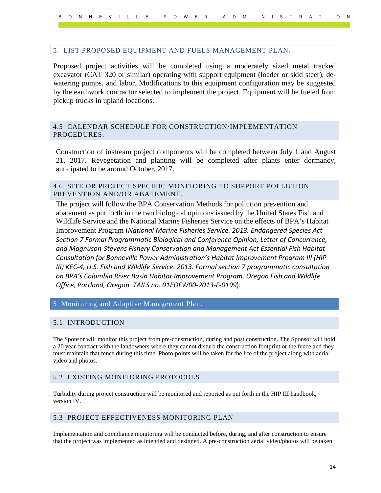### <span id="page-14-0"></span>5. LIST PROPOSED EQUIPMENT AND FUELS MANAGEMENT PLAN.

Proposed project activities will be completed using a moderately sized metal tracked excavator (CAT 320 or similar) operating with support equipment (loader or skid steer), dewatering pumps, and labor. Modifications to this equipment configuration may be suggested by the earthwork contractor selected to implement the project. Equipment will be fueled from pickup trucks in upland locations.

### <span id="page-14-1"></span>4.5 CALENDAR SCHEDULE FOR CONSTRUCTION/IMPLEMENTATION PROCEDURES.

Construction of instream project components will be completed between July 1 and August 21, 2017. Revegetation and planting will be completed after plants enter dormancy, anticipated to be around October, 2017.

### <span id="page-14-2"></span>4.6 SITE OR PROJECT SPECIFIC MONITORING TO SUPPORT POLLUTION PREVENTION AND/OR ABATEMENT.

The project will follow the BPA Conservation Methods for pollution prevention and abatement as put forth in the two biological opinions issued by the United States Fish and Wildlife Service and the National Marine Fisheries Service on the effects of BPA's Habitat Improvement Program (*National Marine Fisheries Service. 2013. Endangered Species Act Section 7 Formal Programmatic Biological and Conference Opinion, Letter of Concurrence, and Magnuson-Stevens Fishery Conservation and Management Act Essential Fish Habitat Consultation for Bonneville Power Administration's Habitat Improvement Program III (HIP III) KEC-4, U.S. Fish and Wildlife Service. 2013. Formal section 7 programmatic consultation on BPA's Columbia River Basin Habitat Improvement Program. Oregon Fish and Wildlife Office, Portland, Oregon. TAILS no. 01EOFW00-2013-F-0199*).

### <span id="page-14-3"></span>5 Monitoring and Adaptive Management Plan.

### <span id="page-14-4"></span>5.1 INTRODUCTION

The Sponsor will monitor this project from pre-construction, during and post construction. The Sponsor will hold a 20 year contract with the landowners where they cannot disturb the construction footprint or the fence and they must maintain that fence during this time. Photo-points will be taken for the life of the project along with aerial video and photos.

### <span id="page-14-5"></span>5.2 EXISTING MONITORING PROTOCOLS

Turbidity during project construction will be monitored and reported as put forth in the HIP III handbook, version IV.

### <span id="page-14-6"></span>5.3 PROJECT EFFECTIVENESS MONITORING PLAN

Implementation and compliance monitoring will be conducted before, during, and after construction to ensure that the project was implemented as intended and designed. A pre-construction aerial video/photos will be taken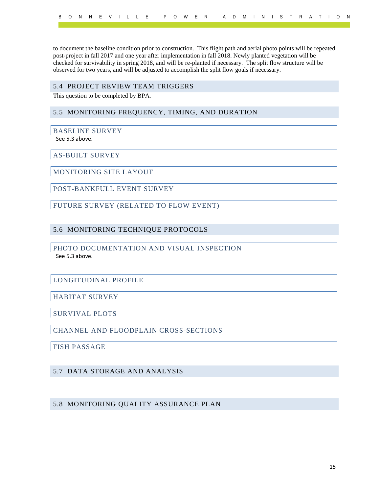to document the baseline condition prior to construction. This flight path and aerial photo points will be repeated post-project in fall 2017 and one year after implementation in fall 2018. Newly planted vegetation will be checked for survivability in spring 2018, and will be re-planted if necessary. The split flow structure will be observed for two years, and will be adjusted to accomplish the split flow goals if necessary.

### <span id="page-15-0"></span>5.4 PROJECT REVIEW TEAM TRIGGERS

This question to be completed by BPA.

### <span id="page-15-1"></span>5.5 MONITORING FREQUENCY, TIMING, AND DURATION

### <span id="page-15-2"></span>BASELINE SURVEY

See 5.3 above.

### <span id="page-15-3"></span>AS-BUILT SURVEY

<span id="page-15-4"></span>MONITORING SITE LAYOUT

<span id="page-15-5"></span>POST-BANKFULL EVENT SURVEY

<span id="page-15-6"></span>FUTURE SURVEY (RELATED TO FLOW EVENT)

### <span id="page-15-7"></span>5.6 MONITORING TECHNIQUE PROTOCOLS

### <span id="page-15-8"></span>PHOTO DOCUMENTATION AND VISUAL INSPECTION See 5.3 above.

### <span id="page-15-9"></span>LONGITUDINAL PROFILE

<span id="page-15-10"></span>HABITAT SURVEY

<span id="page-15-11"></span>SURVIVAL PLOTS

<span id="page-15-12"></span>CHANNEL AND FLOODPLAIN CROSS-SECTIONS

<span id="page-15-13"></span>FISH PASSAGE

### <span id="page-15-14"></span>5.7 DATA STORAGE AND ANALYSIS

### <span id="page-15-15"></span>5.8 MONITORING QUALITY ASSURANCE PLAN